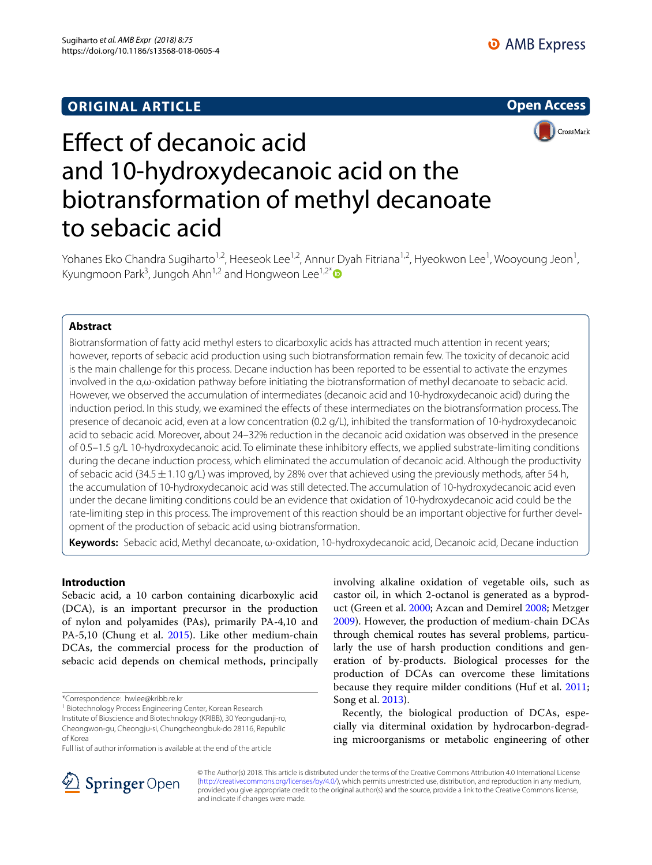## **ORIGINAL ARTICLE**





# Efect of decanoic acid and 10-hydroxydecanoic acid on the biotransformation of methyl decanoate to sebacic acid

Yohanes Eko Chandra Sugiharto<sup>1,2</sup>, Heeseok Lee<sup>1,2</sup>, Annur Dyah Fitriana<sup>1,2</sup>, Hyeokwon Lee<sup>1</sup>, Wooyoung Jeon<sup>1</sup>, Kyungmoon Park<sup>3</sup>, Jungoh Ahn<sup>1,2</sup> and Hongweon Lee<sup>1,2[\\*](http://orcid.org/0000-0002-2565-7143)</sup>

## **Abstract**

Biotransformation of fatty acid methyl esters to dicarboxylic acids has attracted much attention in recent years; however, reports of sebacic acid production using such biotransformation remain few. The toxicity of decanoic acid is the main challenge for this process. Decane induction has been reported to be essential to activate the enzymes involved in the α,ω-oxidation pathway before initiating the biotransformation of methyl decanoate to sebacic acid. However, we observed the accumulation of intermediates (decanoic acid and 10-hydroxydecanoic acid) during the induction period. In this study, we examined the efects of these intermediates on the biotransformation process. The presence of decanoic acid, even at a low concentration (0.2 g/L), inhibited the transformation of 10-hydroxydecanoic acid to sebacic acid. Moreover, about 24–32% reduction in the decanoic acid oxidation was observed in the presence of 0.5–1.5 g/L 10-hydroxydecanoic acid. To eliminate these inhibitory efects, we applied substrate-limiting conditions during the decane induction process, which eliminated the accumulation of decanoic acid. Although the productivity of sebacic acid (34.5 $\pm$ 1.10 g/L) was improved, by 28% over that achieved using the previously methods, after 54 h, the accumulation of 10-hydroxydecanoic acid was still detected. The accumulation of 10-hydroxydecanoic acid even under the decane limiting conditions could be an evidence that oxidation of 10-hydroxydecanoic acid could be the rate-limiting step in this process. The improvement of this reaction should be an important objective for further development of the production of sebacic acid using biotransformation.

**Keywords:** Sebacic acid, Methyl decanoate, ω-oxidation, 10-hydroxydecanoic acid, Decanoic acid, Decane induction

## **Introduction**

Sebacic acid, a 10 carbon containing dicarboxylic acid (DCA), is an important precursor in the production of nylon and polyamides (PAs), primarily PA-4,10 and PA-5,10 (Chung et al. [2015](#page-7-0)). Like other medium-chain DCAs, the commercial process for the production of sebacic acid depends on chemical methods, principally involving alkaline oxidation of vegetable oils, such as castor oil, in which 2-octanol is generated as a byproduct (Green et al. [2000](#page-7-1); Azcan and Demirel [2008;](#page-7-2) Metzger [2009](#page-8-0)). However, the production of medium-chain DCAs through chemical routes has several problems, particularly the use of harsh production conditions and generation of by-products. Biological processes for the production of DCAs can overcome these limitations because they require milder conditions (Huf et al. [2011](#page-7-3); Song et al. [2013\)](#page-8-1).

Recently, the biological production of DCAs, especially via diterminal oxidation by hydrocarbon-degrading microorganisms or metabolic engineering of other



© The Author(s) 2018. This article is distributed under the terms of the Creative Commons Attribution 4.0 International License [\(http://creativecommons.org/licenses/by/4.0/\)](http://creativecommons.org/licenses/by/4.0/), which permits unrestricted use, distribution, and reproduction in any medium, provided you give appropriate credit to the original author(s) and the source, provide a link to the Creative Commons license, and indicate if changes were made.

<sup>\*</sup>Correspondence: hwlee@kribb.re.kr

<sup>&</sup>lt;sup>1</sup> Biotechnology Process Engineering Center, Korean Research

Institute of Bioscience and Biotechnology (KRIBB), 30 Yeongudanji-ro, Cheongwon-gu, Cheongju-si, Chungcheongbuk-do 28116, Republic of Korea

Full list of author information is available at the end of the article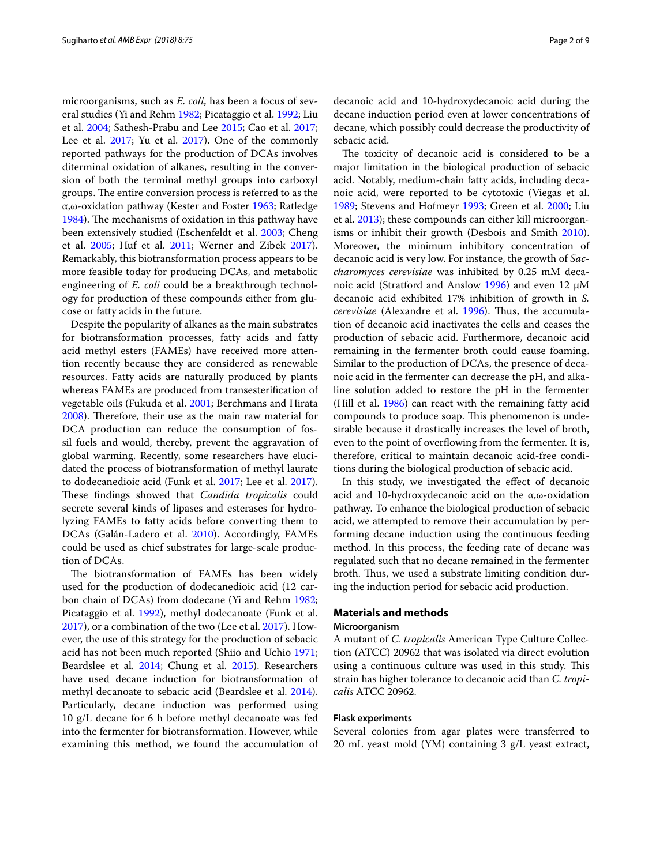microorganisms, such as *E*. *coli*, has been a focus of several studies (Yi and Rehm [1982](#page-8-2); Picataggio et al. [1992;](#page-8-3) Liu et al. [2004](#page-8-4); Sathesh-Prabu and Lee [2015;](#page-8-5) Cao et al. [2017](#page-7-4); Lee et al. [2017](#page-8-6); Yu et al. 2017). One of the commonly reported pathways for the production of DCAs involves diterminal oxidation of alkanes, resulting in the conversion of both the terminal methyl groups into carboxyl groups. The entire conversion process is referred to as the α,ω-oxidation pathway (Kester and Foster [1963](#page-7-6); Ratledge [1984](#page-8-7)). The mechanisms of oxidation in this pathway have been extensively studied (Eschenfeldt et al. [2003](#page-7-7); Cheng et al. [2005](#page-7-8); Huf et al. [2011](#page-7-3); Werner and Zibek [2017](#page-8-8)). Remarkably, this biotransformation process appears to be more feasible today for producing DCAs, and metabolic engineering of *E. coli* could be a breakthrough technology for production of these compounds either from glucose or fatty acids in the future.

Despite the popularity of alkanes as the main substrates for biotransformation processes, fatty acids and fatty acid methyl esters (FAMEs) have received more attention recently because they are considered as renewable resources. Fatty acids are naturally produced by plants whereas FAMEs are produced from transesterifcation of vegetable oils (Fukuda et al. [2001;](#page-7-9) Berchmans and Hirata [2008](#page-7-10)). Therefore, their use as the main raw material for DCA production can reduce the consumption of fossil fuels and would, thereby, prevent the aggravation of global warming. Recently, some researchers have elucidated the process of biotransformation of methyl laurate to dodecanedioic acid (Funk et al. [2017;](#page-7-11) Lee et al. [2017](#page-7-5)). These findings showed that *Candida tropicalis* could secrete several kinds of lipases and esterases for hydrolyzing FAMEs to fatty acids before converting them to DCAs (Galán-Ladero et al. [2010](#page-7-12)). Accordingly, FAMEs could be used as chief substrates for large-scale production of DCAs.

The biotransformation of FAMEs has been widely used for the production of dodecanedioic acid (12 carbon chain of DCAs) from dodecane (Yi and Rehm [1982](#page-8-2); Picataggio et al. [1992](#page-8-3)), methyl dodecanoate (Funk et al. [2017](#page-7-11)), or a combination of the two (Lee et al. [2017\)](#page-7-5). However, the use of this strategy for the production of sebacic acid has not been much reported (Shiio and Uchio [1971](#page-8-9); Beardslee et al. [2014;](#page-7-13) Chung et al. [2015\)](#page-7-0). Researchers have used decane induction for biotransformation of methyl decanoate to sebacic acid (Beardslee et al. [2014](#page-7-13)). Particularly, decane induction was performed using 10 g/L decane for 6 h before methyl decanoate was fed into the fermenter for biotransformation. However, while examining this method, we found the accumulation of decanoic acid and 10-hydroxydecanoic acid during the decane induction period even at lower concentrations of decane, which possibly could decrease the productivity of sebacic acid.

The toxicity of decanoic acid is considered to be a major limitation in the biological production of sebacic acid. Notably, medium-chain fatty acids, including decanoic acid, were reported to be cytotoxic (Viegas et al. [1989](#page-8-10); Stevens and Hofmeyr [1993](#page-8-11); Green et al. [2000;](#page-7-1) Liu et al. [2013](#page-8-12)); these compounds can either kill microorganisms or inhibit their growth (Desbois and Smith [2010](#page-7-14)). Moreover, the minimum inhibitory concentration of decanoic acid is very low. For instance, the growth of *Saccharomyces cerevisiae* was inhibited by 0.25 mM decanoic acid (Stratford and Anslow [1996\)](#page-8-13) and even 12 μM decanoic acid exhibited 17% inhibition of growth in *S. cerevisiae* (Alexandre et al. [1996](#page-7-15)). Thus, the accumulation of decanoic acid inactivates the cells and ceases the production of sebacic acid. Furthermore, decanoic acid remaining in the fermenter broth could cause foaming. Similar to the production of DCAs, the presence of decanoic acid in the fermenter can decrease the pH, and alkaline solution added to restore the pH in the fermenter (Hill et al. [1986\)](#page-7-16) can react with the remaining fatty acid compounds to produce soap. This phenomenon is undesirable because it drastically increases the level of broth, even to the point of overflowing from the fermenter. It is, therefore, critical to maintain decanoic acid-free conditions during the biological production of sebacic acid.

In this study, we investigated the effect of decanoic acid and 10-hydroxydecanoic acid on the α,ω-oxidation pathway. To enhance the biological production of sebacic acid, we attempted to remove their accumulation by performing decane induction using the continuous feeding method. In this process, the feeding rate of decane was regulated such that no decane remained in the fermenter broth. Thus, we used a substrate limiting condition during the induction period for sebacic acid production.

## **Materials and methods Microorganism**

A mutant of *C. tropicalis* American Type Culture Collection (ATCC) 20962 that was isolated via direct evolution using a continuous culture was used in this study. This strain has higher tolerance to decanoic acid than *C. tropicalis* ATCC 20962.

#### **Flask experiments**

Several colonies from agar plates were transferred to 20 mL yeast mold (YM) containing 3 g/L yeast extract,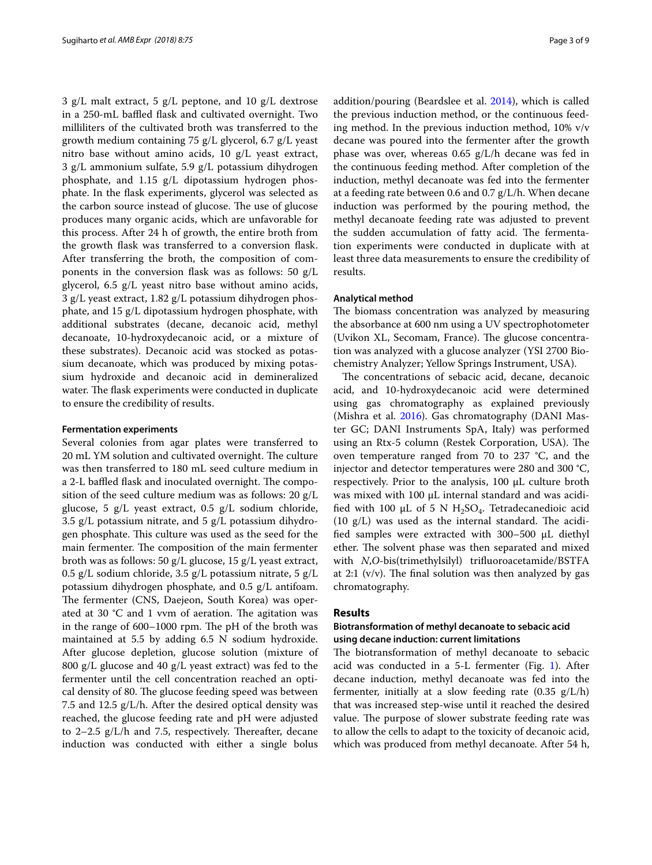3 g/L malt extract, 5 g/L peptone, and 10 g/L dextrose in a 250-mL baffled flask and cultivated overnight. Two milliliters of the cultivated broth was transferred to the growth medium containing 75 g/L glycerol, 6.7 g/L yeast nitro base without amino acids, 10 g/L yeast extract, 3 g/L ammonium sulfate, 5.9 g/L potassium dihydrogen phosphate, and 1.15 g/L dipotassium hydrogen phosphate. In the fask experiments, glycerol was selected as the carbon source instead of glucose. The use of glucose produces many organic acids, which are unfavorable for this process. After 24 h of growth, the entire broth from the growth fask was transferred to a conversion fask. After transferring the broth, the composition of components in the conversion fask was as follows: 50 g/L glycerol, 6.5 g/L yeast nitro base without amino acids, 3 g/L yeast extract, 1.82 g/L potassium dihydrogen phosphate, and 15 g/L dipotassium hydrogen phosphate, with additional substrates (decane, decanoic acid, methyl decanoate, 10-hydroxydecanoic acid, or a mixture of these substrates). Decanoic acid was stocked as potassium decanoate, which was produced by mixing potassium hydroxide and decanoic acid in demineralized water. The flask experiments were conducted in duplicate to ensure the credibility of results.

#### **Fermentation experiments**

Several colonies from agar plates were transferred to 20 mL YM solution and cultivated overnight. The culture was then transferred to 180 mL seed culture medium in a 2-L baffled flask and inoculated overnight. The composition of the seed culture medium was as follows: 20 g/L glucose, 5 g/L yeast extract, 0.5 g/L sodium chloride, 3.5  $g/L$  potassium nitrate, and 5  $g/L$  potassium dihydrogen phosphate. This culture was used as the seed for the main fermenter. The composition of the main fermenter broth was as follows: 50 g/L glucose, 15 g/L yeast extract, 0.5 g/L sodium chloride, 3.5 g/L potassium nitrate, 5 g/L potassium dihydrogen phosphate, and 0.5 g/L antifoam. The fermenter (CNS, Daejeon, South Korea) was operated at 30  $\degree$ C and 1 vvm of aeration. The agitation was in the range of 600-1000 rpm. The pH of the broth was maintained at 5.5 by adding 6.5 N sodium hydroxide. After glucose depletion, glucose solution (mixture of 800 g/L glucose and 40 g/L yeast extract) was fed to the fermenter until the cell concentration reached an optical density of 80. The glucose feeding speed was between 7.5 and 12.5 g/L/h. After the desired optical density was reached, the glucose feeding rate and pH were adjusted to  $2-2.5$  g/L/h and 7.5, respectively. Thereafter, decane induction was conducted with either a single bolus addition/pouring (Beardslee et al. [2014\)](#page-7-13), which is called the previous induction method, or the continuous feeding method. In the previous induction method, 10% v/v decane was poured into the fermenter after the growth phase was over, whereas 0.65 g/L/h decane was fed in the continuous feeding method. After completion of the induction, methyl decanoate was fed into the fermenter at a feeding rate between 0.6 and 0.7 g/L/h. When decane induction was performed by the pouring method, the methyl decanoate feeding rate was adjusted to prevent the sudden accumulation of fatty acid. The fermentation experiments were conducted in duplicate with at least three data measurements to ensure the credibility of results.

#### **Analytical method**

The biomass concentration was analyzed by measuring the absorbance at 600 nm using a UV spectrophotometer (Uvikon XL, Secomam, France). The glucose concentration was analyzed with a glucose analyzer (YSI 2700 Biochemistry Analyzer; Yellow Springs Instrument, USA).

The concentrations of sebacic acid, decane, decanoic acid, and 10-hydroxydecanoic acid were determined using gas chromatography as explained previously (Mishra et al. [2016](#page-8-14)). Gas chromatography (DANI Master GC; DANI Instruments SpA, Italy) was performed using an Rtx-5 column (Restek Corporation, USA). The oven temperature ranged from 70 to 237 °C, and the injector and detector temperatures were 280 and 300 °C, respectively. Prior to the analysis, 100 μL culture broth was mixed with 100 μL internal standard and was acidified with 100  $\mu$ L of 5 N H<sub>2</sub>SO<sub>4</sub>. Tetradecanedioic acid  $(10 \text{ g/L})$  was used as the internal standard. The acidifed samples were extracted with 300–500 μL diethyl ether. The solvent phase was then separated and mixed with *N*,*O*-bis(trimethylsilyl) trifuoroacetamide/BSTFA at 2:1 ( $v/v$ ). The final solution was then analyzed by gas chromatography.

## **Results**

## **Biotransformation of methyl decanoate to sebacic acid using decane induction: current limitations**

The biotransformation of methyl decanoate to sebacic acid was conducted in a 5-L fermenter (Fig. [1](#page-3-0)). After decane induction, methyl decanoate was fed into the fermenter, initially at a slow feeding rate  $(0.35 \text{ g/L/h})$ that was increased step-wise until it reached the desired value. The purpose of slower substrate feeding rate was to allow the cells to adapt to the toxicity of decanoic acid, which was produced from methyl decanoate. After 54 h,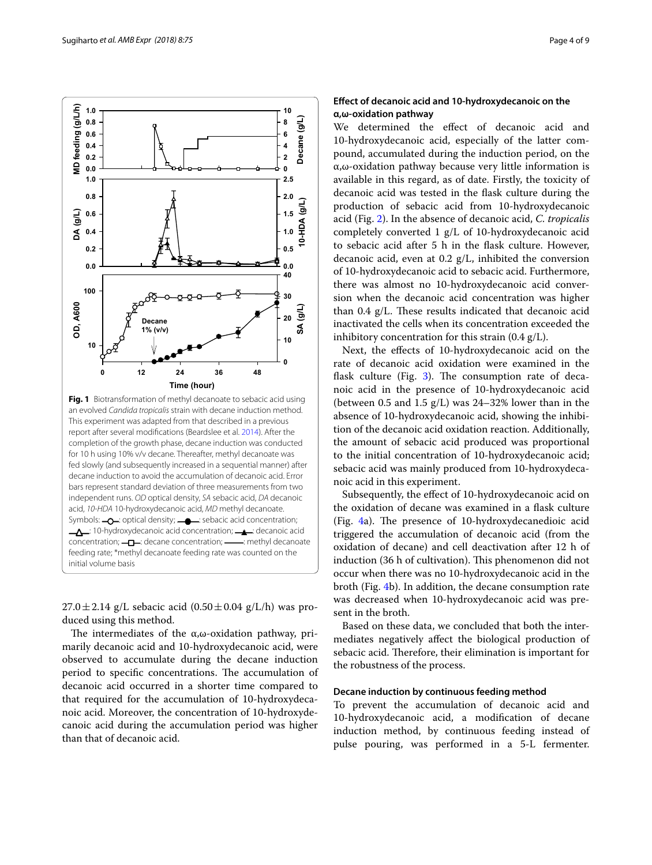<span id="page-3-0"></span> $27.0 \pm 2.14$  g/L sebacic acid  $(0.50 \pm 0.04$  g/L/h) was produced using this method.

The intermediates of the  $\alpha$ , $\omega$ -oxidation pathway, primarily decanoic acid and 10-hydroxydecanoic acid, were observed to accumulate during the decane induction period to specific concentrations. The accumulation of decanoic acid occurred in a shorter time compared to that required for the accumulation of 10-hydroxydecanoic acid. Moreover, the concentration of 10-hydroxydecanoic acid during the accumulation period was higher than that of decanoic acid.

## **Efect of decanoic acid and 10‑hydroxydecanoic on the α,ω‑oxidation pathway**

We determined the effect of decanoic acid and 10-hydroxydecanoic acid, especially of the latter compound, accumulated during the induction period, on the α,ω-oxidation pathway because very little information is available in this regard, as of date. Firstly, the toxicity of decanoic acid was tested in the fask culture during the production of sebacic acid from 10-hydroxydecanoic acid (Fig. [2](#page-4-0)). In the absence of decanoic acid, *C. tropicalis* completely converted 1 g/L of 10-hydroxydecanoic acid to sebacic acid after 5 h in the fask culture. However, decanoic acid, even at 0.2 g/L, inhibited the conversion of 10-hydroxydecanoic acid to sebacic acid. Furthermore, there was almost no 10-hydroxydecanoic acid conversion when the decanoic acid concentration was higher than  $0.4$  g/L. These results indicated that decanoic acid inactivated the cells when its concentration exceeded the inhibitory concentration for this strain  $(0.4 \text{ g/L})$ .

Next, the efects of 10-hydroxydecanoic acid on the rate of decanoic acid oxidation were examined in the flask culture (Fig.  $3$ ). The consumption rate of decanoic acid in the presence of 10-hydroxydecanoic acid (between 0.5 and 1.5  $g/L$ ) was 24–32% lower than in the absence of 10-hydroxydecanoic acid, showing the inhibition of the decanoic acid oxidation reaction. Additionally, the amount of sebacic acid produced was proportional to the initial concentration of 10-hydroxydecanoic acid; sebacic acid was mainly produced from 10-hydroxydecanoic acid in this experiment.

Subsequently, the efect of 10-hydroxydecanoic acid on the oxidation of decane was examined in a fask culture (Fig.  $4a$ ). The presence of 10-hydroxydecanedioic acid triggered the accumulation of decanoic acid (from the oxidation of decane) and cell deactivation after 12 h of induction (36 h of cultivation). This phenomenon did not occur when there was no 10-hydroxydecanoic acid in the broth (Fig. [4b](#page-5-0)). In addition, the decane consumption rate was decreased when 10-hydroxydecanoic acid was present in the broth.

Based on these data, we concluded that both the intermediates negatively afect the biological production of sebacic acid. Therefore, their elimination is important for the robustness of the process.

### **Decane induction by continuous feeding method**

To prevent the accumulation of decanoic acid and 10-hydroxydecanoic acid, a modifcation of decane induction method, by continuous feeding instead of pulse pouring, was performed in a 5-L fermenter.

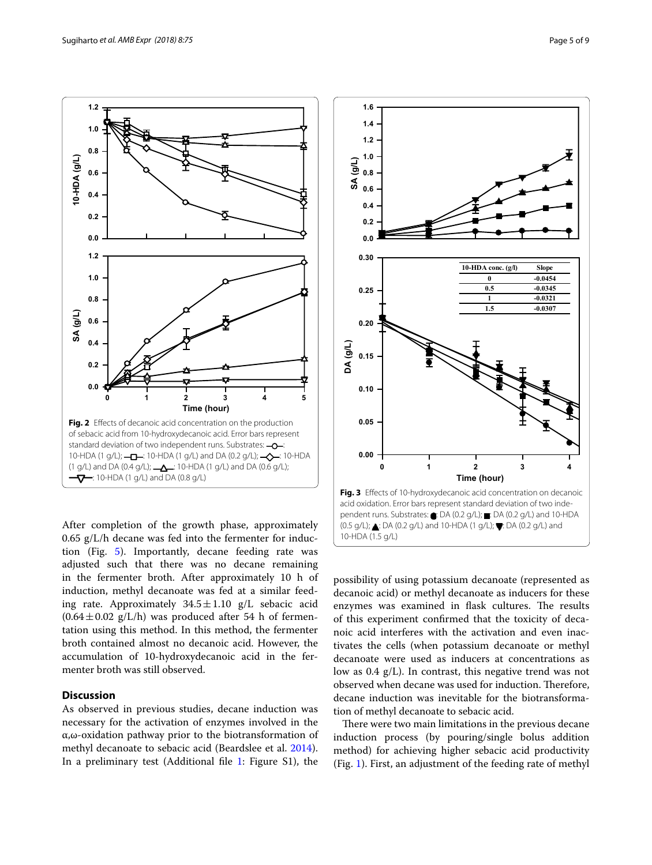

<span id="page-4-0"></span>After completion of the growth phase, approximately  $0.65$  g/L/h decane was fed into the fermenter for induction (Fig. [5\)](#page-6-0). Importantly, decane feeding rate was adjusted such that there was no decane remaining in the fermenter broth. After approximately 10 h of induction, methyl decanoate was fed at a similar feeding rate. Approximately  $34.5 \pm 1.10$  g/L sebacic acid  $(0.64 \pm 0.02 \text{ g/L/h})$  was produced after 54 h of fermentation using this method. In this method, the fermenter broth contained almost no decanoic acid. However, the accumulation of 10-hydroxydecanoic acid in the fermenter broth was still observed.

## **Discussion**

As observed in previous studies, decane induction was necessary for the activation of enzymes involved in the α,ω-oxidation pathway prior to the biotransformation of methyl decanoate to sebacic acid (Beardslee et al. [2014](#page-7-13)). In a preliminary test (Additional fle [1:](#page-7-17) Figure S1), the



<span id="page-4-1"></span>possibility of using potassium decanoate (represented as decanoic acid) or methyl decanoate as inducers for these enzymes was examined in flask cultures. The results of this experiment confrmed that the toxicity of decanoic acid interferes with the activation and even inactivates the cells (when potassium decanoate or methyl decanoate were used as inducers at concentrations as low as 0.4 g/L). In contrast, this negative trend was not observed when decane was used for induction. Therefore, decane induction was inevitable for the biotransformation of methyl decanoate to sebacic acid.

There were two main limitations in the previous decane induction process (by pouring/single bolus addition method) for achieving higher sebacic acid productivity (Fig. [1](#page-3-0)). First, an adjustment of the feeding rate of methyl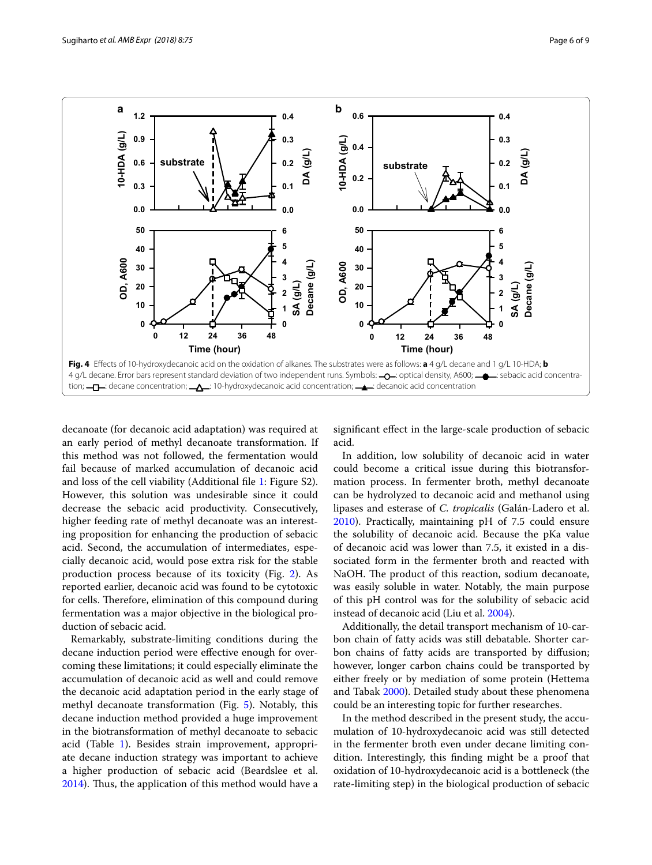

<span id="page-5-0"></span>decanoate (for decanoic acid adaptation) was required at an early period of methyl decanoate transformation. If this method was not followed, the fermentation would fail because of marked accumulation of decanoic acid and loss of the cell viability (Additional fle [1](#page-7-17): Figure S2). However, this solution was undesirable since it could decrease the sebacic acid productivity. Consecutively, higher feeding rate of methyl decanoate was an interesting proposition for enhancing the production of sebacic acid. Second, the accumulation of intermediates, especially decanoic acid, would pose extra risk for the stable production process because of its toxicity (Fig. [2\)](#page-4-0). As reported earlier, decanoic acid was found to be cytotoxic for cells. Therefore, elimination of this compound during fermentation was a major objective in the biological production of sebacic acid.

Remarkably, substrate-limiting conditions during the decane induction period were efective enough for overcoming these limitations; it could especially eliminate the accumulation of decanoic acid as well and could remove the decanoic acid adaptation period in the early stage of methyl decanoate transformation (Fig. [5\)](#page-6-0). Notably, this decane induction method provided a huge improvement in the biotransformation of methyl decanoate to sebacic acid (Table [1](#page-6-1)). Besides strain improvement, appropriate decane induction strategy was important to achieve a higher production of sebacic acid (Beardslee et al. [2014](#page-7-13)). Thus, the application of this method would have a

signifcant efect in the large-scale production of sebacic acid.

In addition, low solubility of decanoic acid in water could become a critical issue during this biotransformation process. In fermenter broth, methyl decanoate can be hydrolyzed to decanoic acid and methanol using lipases and esterase of *C. tropicalis* (Galán-Ladero et al. [2010](#page-7-12)). Practically, maintaining pH of 7.5 could ensure the solubility of decanoic acid. Because the pKa value of decanoic acid was lower than 7.5, it existed in a dissociated form in the fermenter broth and reacted with NaOH. The product of this reaction, sodium decanoate, was easily soluble in water. Notably, the main purpose of this pH control was for the solubility of sebacic acid instead of decanoic acid (Liu et al. [2004](#page-8-4)).

Additionally, the detail transport mechanism of 10-carbon chain of fatty acids was still debatable. Shorter carbon chains of fatty acids are transported by difusion; however, longer carbon chains could be transported by either freely or by mediation of some protein (Hettema and Tabak [2000\)](#page-7-18). Detailed study about these phenomena could be an interesting topic for further researches.

In the method described in the present study, the accumulation of 10-hydroxydecanoic acid was still detected in the fermenter broth even under decane limiting condition. Interestingly, this fnding might be a proof that oxidation of 10-hydroxydecanoic acid is a bottleneck (the rate-limiting step) in the biological production of sebacic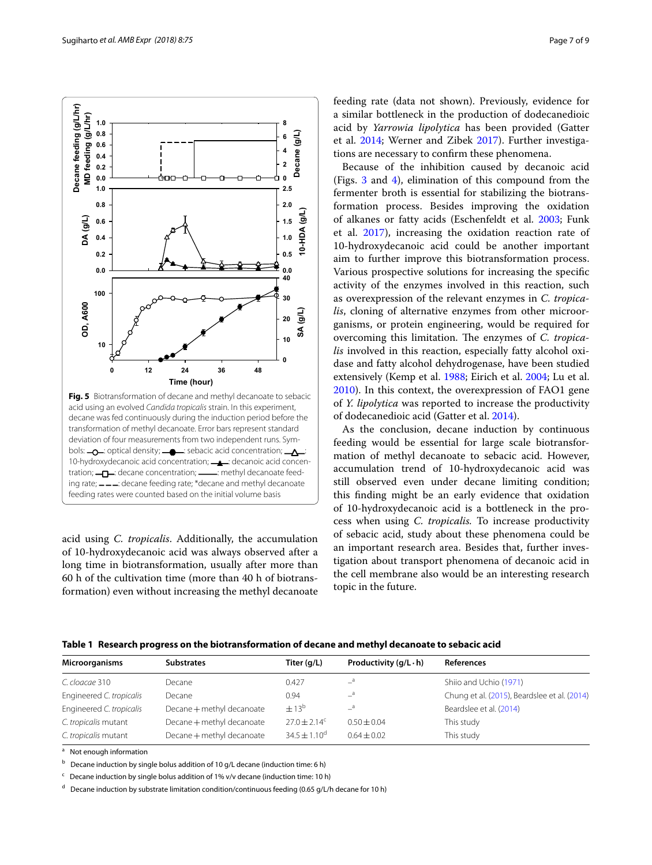<span id="page-6-0"></span>acid using *C. tropicalis*. Additionally, the accumulation of 10-hydroxydecanoic acid was always observed after a long time in biotransformation, usually after more than 60 h of the cultivation time (more than 40 h of biotransformation) even without increasing the methyl decanoate feeding rate (data not shown). Previously, evidence for a similar bottleneck in the production of dodecanedioic acid by *Yarrowia lipolytica* has been provided (Gatter et al. [2014;](#page-7-19) Werner and Zibek [2017](#page-8-8)). Further investigations are necessary to confrm these phenomena.

Because of the inhibition caused by decanoic acid (Figs. [3](#page-4-1) and [4](#page-5-0)), elimination of this compound from the fermenter broth is essential for stabilizing the biotransformation process. Besides improving the oxidation of alkanes or fatty acids (Eschenfeldt et al. [2003;](#page-7-7) Funk et al. [2017\)](#page-7-11), increasing the oxidation reaction rate of 10-hydroxydecanoic acid could be another important aim to further improve this biotransformation process. Various prospective solutions for increasing the specifc activity of the enzymes involved in this reaction, such as overexpression of the relevant enzymes in *C. tropicalis*, cloning of alternative enzymes from other microorganisms, or protein engineering, would be required for overcoming this limitation. The enzymes of *C. tropicalis* involved in this reaction, especially fatty alcohol oxidase and fatty alcohol dehydrogenase, have been studied extensively (Kemp et al. [1988](#page-7-20); Eirich et al. [2004;](#page-7-21) Lu et al. [2010](#page-8-15)). In this context, the overexpression of FAO1 gene of *Y. lipolytica* was reported to increase the productivity of dodecanedioic acid (Gatter et al. [2014](#page-7-19)).

As the conclusion, decane induction by continuous feeding would be essential for large scale biotransformation of methyl decanoate to sebacic acid. However, accumulation trend of 10-hydroxydecanoic acid was still observed even under decane limiting condition; this fnding might be an early evidence that oxidation of 10-hydroxydecanoic acid is a bottleneck in the process when using *C. tropicalis.* To increase productivity of sebacic acid, study about these phenomena could be an important research area. Besides that, further investigation about transport phenomena of decanoic acid in the cell membrane also would be an interesting research topic in the future.

<span id="page-6-1"></span>

| Table 1 Research progress on the biotransformation of decane and methyl decanoate to sebacic acid |  |  |  |  |  |  |
|---------------------------------------------------------------------------------------------------|--|--|--|--|--|--|
|---------------------------------------------------------------------------------------------------|--|--|--|--|--|--|

C. cloacae 310 **Decane Decane 0.427**  $a^a$  Shiio and Uchio [\(1971](#page-8-9))

Engineered *C. tropicalis* Decane + methyl decanoate  $\pm 13^b$  <sup>-3</sup> - Beardslee et al. [\(2014\)](#page-7-13)

Engineered *C. tropicalis* Decane 0.94 –<sup>a</sup> Chung et al. [\(2015](#page-7-0)), Beardslee et al. [\(2014\)](#page-7-13)

**Microorganisms Substrates Titer (g/L) Productivity (g/L ·h) References**

*C. tropicalis* mutant Decane+methyl decanoate 27.0±2.14c 0.50±0.04 This study *C. tropicalis* mutant Decane + methyl decanoate  $34.5 \pm 1.10^d$   $0.64 \pm 0.02$  This study

| <sup>a</sup> Not enough information |  |  |  |  |
|-------------------------------------|--|--|--|--|
|                                     |  |  |  |  |

 $b$  Decane induction by single bolus addition of 10 g/L decane (induction time: 6 h)

 $c$  Decane induction by single bolus addition of 1% v/v decane (induction time: 10 h)

d Decane induction by substrate limitation condition/continuous feeding (0.65 g/L/h decane for 10 h)

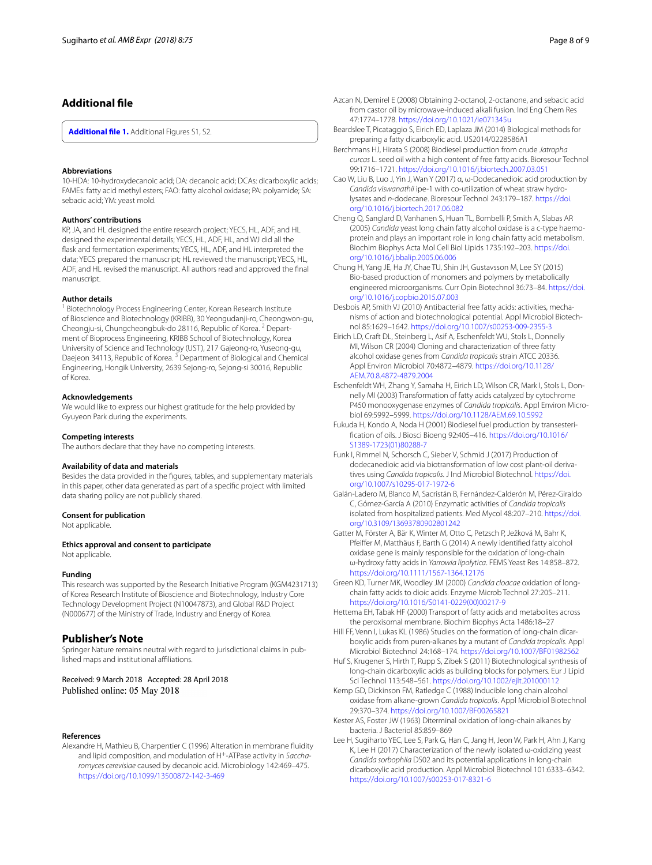## **Additional fle**

<span id="page-7-17"></span>**[Additional fle](https://doi.org/10.1186/s13568-018-0605-4) 1.** Additional Figures S1, S2.

#### **Abbreviations**

10-HDA: 10-hydroxydecanoic acid; DA: decanoic acid; DCAs: dicarboxylic acids; FAMEs: fatty acid methyl esters; FAO: fatty alcohol oxidase; PA: polyamide; SA: sebacic acid; YM: yeast mold.

#### **Authors' contributions**

KP, JA, and HL designed the entire research project; YECS, HL, ADF, and HL designed the experimental details; YECS, HL, ADF, HL, and WJ did all the fask and fermentation experiments; YECS, HL, ADF, and HL interpreted the data; YECS prepared the manuscript; HL reviewed the manuscript; YECS, HL, ADF, and HL revised the manuscript. All authors read and approved the fnal manuscript.

#### **Author details**

<sup>1</sup> Biotechnology Process Engineering Center, Korean Research Institute of Bioscience and Biotechnology (KRIBB), 30 Yeongudanji-ro, Cheongwon-gu, Cheongju-si, Chungcheongbuk-do 28116, Republic of Korea. 2 Department of Bioprocess Engineering, KRIBB School of Biotechnology, Korea University of Science and Technology (UST), 217 Gajeong-ro, Yuseong-gu, Daejeon 34113, Republic of Korea.<sup>3</sup> Department of Biological and Chemical Engineering, Hongik University, 2639 Sejong-ro, Sejong-si 30016, Republic of Korea.

#### **Acknowledgements**

We would like to express our highest gratitude for the help provided by Gyuyeon Park during the experiments.

#### **Competing interests**

The authors declare that they have no competing interests.

#### **Availability of data and materials**

Besides the data provided in the fgures, tables, and supplementary materials in this paper, other data generated as part of a specifc project with limited data sharing policy are not publicly shared.

#### **Consent for publication**

Not applicable.

**Ethics approval and consent to participate** Not applicable.

#### **Funding**

This research was supported by the Research Initiative Program (KGM4231713) of Korea Research Institute of Bioscience and Biotechnology, Industry Core Technology Development Project (N10047873), and Global R&D Project (N000677) of the Ministry of Trade, Industry and Energy of Korea.

#### **Publisher's Note**

Springer Nature remains neutral with regard to jurisdictional claims in published maps and institutional afliations.

#### Received: 9 March 2018 Accepted: 28 April 2018 Published online: 05 May 2018

#### **References**

<span id="page-7-15"></span>Alexandre H, Mathieu B, Charpentier C (1996) Alteration in membrane fuidity and lipid composition, and modulation of H+-ATPase activity in *Saccharomyces cerevisiae* caused by decanoic acid. Microbiology 142:469–475. <https://doi.org/10.1099/13500872-142-3-469>

- <span id="page-7-2"></span>Azcan N, Demirel E (2008) Obtaining 2-octanol, 2-octanone, and sebacic acid from castor oil by microwave-induced alkali fusion. Ind Eng Chem Res 47:1774–1778.<https://doi.org/10.1021/ie071345u>
- <span id="page-7-13"></span>Beardslee T, Picataggio S, Eirich ED, Laplaza JM (2014) Biological methods for preparing a fatty dicarboxylic acid. US2014/0228586A1
- <span id="page-7-10"></span>Berchmans HJ, Hirata S (2008) Biodiesel production from crude *Jatropha curcas* L. seed oil with a high content of free fatty acids. Bioresour Technol 99:1716–1721.<https://doi.org/10.1016/j.biortech.2007.03.051>
- <span id="page-7-4"></span>Cao W, Liu B, Luo J, Yin J, Wan Y (2017) α, ω-Dodecanedioic acid production by *Candida viswanathii* ipe-1 with co-utilization of wheat straw hydrolysates and *n*-dodecane. Bioresour Technol 243:179–187. [https://doi.](https://doi.org/10.1016/j.biortech.2017.06.082) [org/10.1016/j.biortech.2017.06.082](https://doi.org/10.1016/j.biortech.2017.06.082)
- <span id="page-7-8"></span>Cheng Q, Sanglard D, Vanhanen S, Huan TL, Bombelli P, Smith A, Slabas AR (2005) *Candida* yeast long chain fatty alcohol oxidase is a c-type haemoprotein and plays an important role in long chain fatty acid metabolism. Biochim Biophys Acta Mol Cell Biol Lipids 1735:192–203. [https://doi.](https://doi.org/10.1016/j.bbalip.2005.06.006) [org/10.1016/j.bbalip.2005.06.006](https://doi.org/10.1016/j.bbalip.2005.06.006)
- <span id="page-7-0"></span>Chung H, Yang JE, Ha JY, Chae TU, Shin JH, Gustavsson M, Lee SY (2015) Bio-based production of monomers and polymers by metabolically engineered microorganisms. Curr Opin Biotechnol 36:73–84. [https://doi.](https://doi.org/10.1016/j.copbio.2015.07.003) [org/10.1016/j.copbio.2015.07.003](https://doi.org/10.1016/j.copbio.2015.07.003)
- <span id="page-7-14"></span>Desbois AP, Smith VJ (2010) Antibacterial free fatty acids: activities, mechanisms of action and biotechnological potential. Appl Microbiol Biotechnol 85:1629–1642. <https://doi.org/10.1007/s00253-009-2355-3>
- <span id="page-7-21"></span>Eirich LD, Craft DL, Steinberg L, Asif A, Eschenfeldt WU, Stols L, Donnelly MI, Wilson CR (2004) Cloning and characterization of three fatty alcohol oxidase genes from *Candida tropicalis* strain ATCC 20336. Appl Environ Microbiol 70:4872–4879. [https://doi.org/10.1128/](https://doi.org/10.1128/AEM.70.8.4872-4879.2004) [AEM.70.8.4872-4879.2004](https://doi.org/10.1128/AEM.70.8.4872-4879.2004)
- <span id="page-7-7"></span>Eschenfeldt WH, Zhang Y, Samaha H, Eirich LD, Wilson CR, Mark I, Stols L, Donnelly MI (2003) Transformation of fatty acids catalyzed by cytochrome P450 monooxygenase enzymes of *Candida tropicalis*. Appl Environ Microbiol 69:5992–5999.<https://doi.org/10.1128/AEM.69.10.5992>
- <span id="page-7-9"></span>Fukuda H, Kondo A, Noda H (2001) Biodiesel fuel production by transesterifcation of oils. J Biosci Bioeng 92:405–416. [https://doi.org/10.1016/](https://doi.org/10.1016/S1389-1723(01)80288-7) [S1389-1723\(01\)80288-7](https://doi.org/10.1016/S1389-1723(01)80288-7)
- <span id="page-7-11"></span>Funk I, Rimmel N, Schorsch C, Sieber V, Schmid J (2017) Production of dodecanedioic acid via biotransformation of low cost plant-oil derivatives using *Candida tropicalis*. J Ind Microbiol Biotechnol. [https://doi.](https://doi.org/10.1007/s10295-017-1972-6) [org/10.1007/s10295-017-1972-6](https://doi.org/10.1007/s10295-017-1972-6)
- <span id="page-7-12"></span>Galán-Ladero M, Blanco M, Sacristán B, Fernández-Calderón M, Pérez-Giraldo C, Gómez-García A (2010) Enzymatic activities of *Candida tropicalis* isolated from hospitalized patients. Med Mycol 48:207–210. [https://doi.](https://doi.org/10.3109/13693780902801242) [org/10.3109/13693780902801242](https://doi.org/10.3109/13693780902801242)
- <span id="page-7-19"></span>Gatter M, Förster A, Bär K, Winter M, Otto C, Petzsch P, Ježková M, Bahr K, Pfeifer M, Matthäus F, Barth G (2014) A newly identifed fatty alcohol oxidase gene is mainly responsible for the oxidation of long-chain ω-hydroxy fatty acids in *Yarrowia lipolytica*. FEMS Yeast Res 14:858–872. <https://doi.org/10.1111/1567-1364.12176>
- <span id="page-7-1"></span>Green KD, Turner MK, Woodley JM (2000) *Candida cloacae* oxidation of longchain fatty acids to dioic acids. Enzyme Microb Technol 27:205–211. [https://doi.org/10.1016/S0141-0229\(00\)00217-9](https://doi.org/10.1016/S0141-0229(00)00217-9)
- <span id="page-7-18"></span>Hettema EH, Tabak HF (2000) Transport of fatty acids and metabolites across the peroxisomal membrane. Biochim Biophys Acta 1486:18–27
- <span id="page-7-16"></span>Hill FF, Venn I, Lukas KL (1986) Studies on the formation of long-chain dicarboxylic acids from puren-alkanes by a mutant of *Candida tropicalis*. Appl Microbiol Biotechnol 24:168–174. <https://doi.org/10.1007/BF01982562>
- <span id="page-7-3"></span>Huf S, Krugener S, Hirth T, Rupp S, Zibek S (2011) Biotechnological synthesis of long-chain dicarboxylic acids as building blocks for polymers. Eur J Lipid Sci Technol 113:548–561. <https://doi.org/10.1002/ejlt.201000112>
- <span id="page-7-20"></span>Kemp GD, Dickinson FM, Ratledge C (1988) Inducible long chain alcohol oxidase from alkane-grown *Candida tropicalis*. Appl Microbiol Biotechnol 29:370–374.<https://doi.org/10.1007/BF00265821>
- <span id="page-7-6"></span>Kester AS, Foster JW (1963) Diterminal oxidation of long-chain alkanes by bacteria. J Bacteriol 85:859–869
- <span id="page-7-5"></span>Lee H, Sugiharto YEC, Lee S, Park G, Han C, Jang H, Jeon W, Park H, Ahn J, Kang K, Lee H (2017) Characterization of the newly isolated ω-oxidizing yeast *Candida sorbophila* DS02 and its potential applications in long-chain dicarboxylic acid production. Appl Microbiol Biotechnol 101:6333–6342. <https://doi.org/10.1007/s00253-017-8321-6>